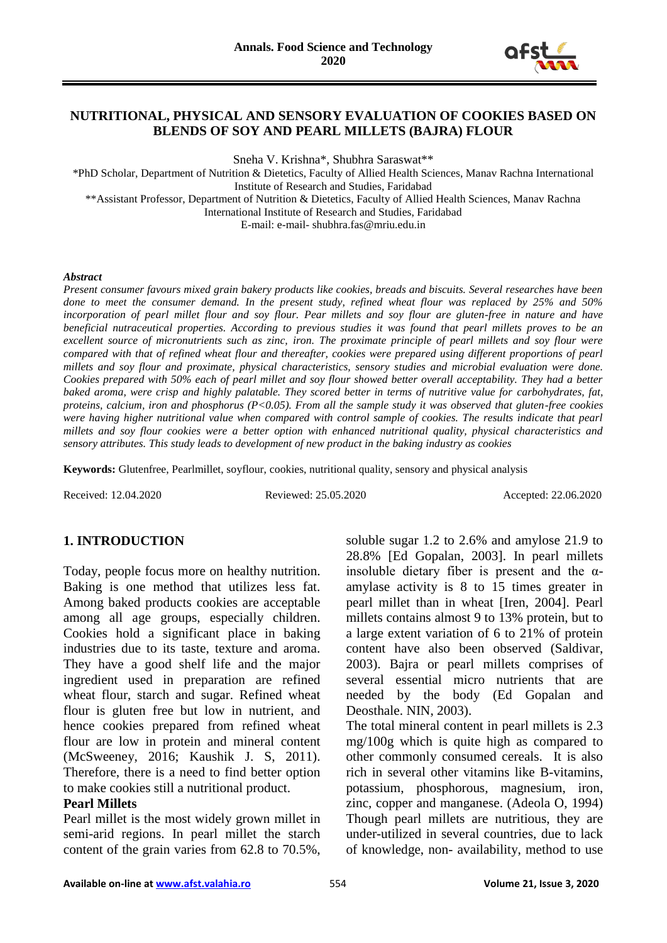

## **NUTRITIONAL, PHYSICAL AND SENSORY EVALUATION OF COOKIES BASED ON BLENDS OF SOY AND PEARL MILLETS (BAJRA) FLOUR**

Sneha V. Krishna\*, Shubhra Saraswat\*\*

\*PhD Scholar, Department of Nutrition & Dietetics, Faculty of Allied Health Sciences, Manav Rachna International Institute of Research and Studies, Faridabad \*\*Assistant Professor, Department of Nutrition & Dietetics, Faculty of Allied Health Sciences, Manav Rachna International Institute of Research and Studies, Faridabad

E-mail: e-mail- shubhra.fas@mriu.edu.in

#### *Abstract*

*Present consumer favours mixed grain bakery products like cookies, breads and biscuits. Several researches have been done to meet the consumer demand. In the present study, refined wheat flour was replaced by 25% and 50% incorporation of pearl millet flour and soy flour. Pear millets and soy flour are gluten-free in nature and have beneficial nutraceutical properties. According to previous studies it was found that pearl millets proves to be an excellent source of micronutrients such as zinc, iron. The proximate principle of pearl millets and soy flour were compared with that of refined wheat flour and thereafter, cookies were prepared using different proportions of pearl millets and soy flour and proximate, physical characteristics, sensory studies and microbial evaluation were done. Cookies prepared with 50% each of pearl millet and soy flour showed better overall acceptability. They had a better baked aroma, were crisp and highly palatable. They scored better in terms of nutritive value for carbohydrates, fat, proteins, calcium, iron and phosphorus (P<0.05). From all the sample study it was observed that gluten-free cookies*  were having higher nutritional value when compared with control sample of cookies. The results indicate that pearl *millets and soy flour cookies were a better option with enhanced nutritional quality, physical characteristics and sensory attributes. This study leads to development of new product in the baking industry as cookies*

**Keywords:** Glutenfree, Pearlmillet, soyflour, cookies, nutritional quality, sensory and physical analysis

Received: 12.04.2020 Reviewed: 25.05.2020 Accepted: 22.06.2020

## **1. INTRODUCTION**

Today, people focus more on healthy nutrition. Baking is one method that utilizes less fat. Among baked products cookies are acceptable among all age groups, especially children. Cookies hold a significant place in baking industries due to its taste, texture and aroma. They have a good shelf life and the major ingredient used in preparation are refined wheat flour, starch and sugar. Refined wheat flour is gluten free but low in nutrient, and hence cookies prepared from refined wheat flour are low in protein and mineral content (McSweeney, 2016; Kaushik J. S, 2011). Therefore, there is a need to find better option to make cookies still a nutritional product.

#### **Pearl Millets**

Pearl millet is the most widely grown millet in semi-arid regions. In pearl millet the starch content of the grain varies from 62.8 to 70.5%,

soluble sugar 1.2 to 2.6% and amylose 21.9 to 28.8% [Ed Gopalan, 2003]. In pearl millets insoluble dietary fiber is present and the  $\alpha$ amylase activity is 8 to 15 times greater in pearl millet than in wheat [Iren, 2004]. Pearl millets contains almost 9 to 13% protein, but to a large extent variation of 6 to 21% of protein content have also been observed (Saldivar, 2003). Bajra or pearl millets comprises of several essential micro nutrients that are needed by the body (Ed Gopalan and Deosthale. NIN, 2003).

The total mineral content in pearl millets is 2.3 mg/100g which is quite high as compared to other commonly consumed cereals. It is also rich in several other vitamins like B-vitamins, potassium, phosphorous, magnesium, iron, zinc, copper and manganese. (Adeola O, 1994) Though pearl millets are nutritious, they are under-utilized in several countries, due to lack of knowledge, non- availability, method to use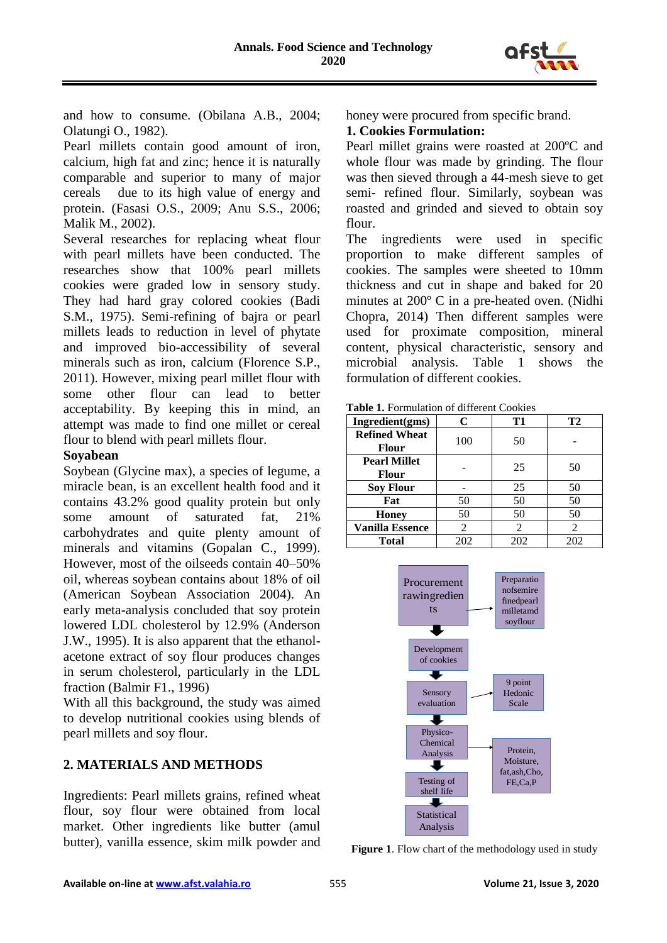

and how to consume. (Obilana A.B., 2004; Olatungi O., 1982).

Pearl millets contain good amount of iron, calcium, high fat and zinc; hence it is naturally comparable and superior to many of major cereals due to its high value of energy and protein. (Fasasi O.S., 2009; Anu S.S., 2006; Malik M., 2002).

Several researches for replacing wheat flour with pearl millets have been conducted. The researches show that 100% pearl millets cookies were graded low in sensory study. They had hard gray colored cookies (Badi S.M., 1975). Semi-refining of bajra or pearl millets leads to reduction in level of phytate and improved bio-accessibility of several minerals such as iron, calcium (Florence S.P., 2011). However, mixing pearl millet flour with some other flour can lead to better acceptability. By keeping this in mind, an attempt was made to find one millet or cereal flour to blend with pearl millets flour.

## **Soyabean**

Soybean (Glycine max), a species of legume, a miracle bean, is an excellent health food and it contains 43.2% good quality protein but only some amount of saturated fat, 21% carbohydrates and quite plenty amount of minerals and vitamins (Gopalan C., 1999). However, most of the oilseeds contain 40–50% oil, whereas soybean contains about 18% of oil (American Soybean Association 2004). An early meta-analysis concluded that soy protein lowered LDL cholesterol by 12.9% (Anderson J.W., 1995). It is also apparent that the ethanolacetone extract of soy flour produces changes in serum cholesterol, particularly in the LDL fraction (Balmir F1., 1996)

With all this background, the study was aimed to develop nutritional cookies using blends of pearl millets and soy flour.

## **2. MATERIALS AND METHODS**

Ingredients: Pearl millets grains, refined wheat flour, soy flour were obtained from local market. Other ingredients like butter (amul butter), vanilla essence, skim milk powder and honey were procured from specific brand.

## **1. Cookies Formulation:**

Pearl millet grains were roasted at 200ºC and whole flour was made by grinding. The flour was then sieved through a 44-mesh sieve to get semi- refined flour. Similarly, soybean was roasted and grinded and sieved to obtain soy flour.

The ingredients were used in specific proportion to make different samples of cookies. The samples were sheeted to 10mm thickness and cut in shape and baked for 20 minutes at 200º C in a pre-heated oven. (Nidhi Chopra, 2014) Then different samples were used for proximate composition, mineral content, physical characteristic, sensory and microbial analysis. Table 1 shows the formulation of different cookies.

**Table 1.** Formulation of different Cookies

| Ingredient(gms)                     | C   | T1  | <b>T2</b>      |
|-------------------------------------|-----|-----|----------------|
| <b>Refined Wheat</b><br>Flour       | 100 | 50  |                |
| <b>Pearl Millet</b><br><b>Flour</b> |     | 25  | 50             |
| <b>Soy Flour</b>                    |     | 25  | 50             |
| Fat                                 | 50  | 50  | 50             |
| <b>Honey</b>                        | 50  | 50  | 50             |
| <b>Vanilla Essence</b>              | 2   | 2   | $\overline{2}$ |
| <b>Total</b>                        | 202 | 202 | 202            |



**Figure 1**. Flow chart of the methodology used in study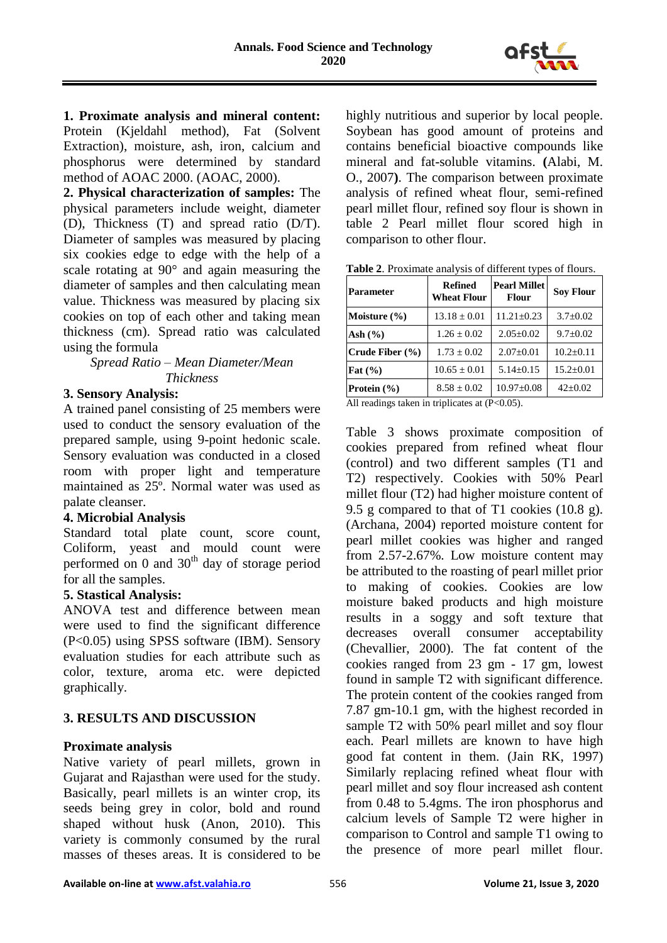

**1. Proximate analysis and mineral content:** Protein (Kjeldahl method), Fat (Solvent Extraction), moisture, ash, iron, calcium and phosphorus were determined by standard method of AOAC 2000. (AOAC, 2000).

**2. Physical characterization of samples:** The physical parameters include weight, diameter (D), Thickness (T) and spread ratio (D/T). Diameter of samples was measured by placing six cookies edge to edge with the help of a scale rotating at 90° and again measuring the diameter of samples and then calculating mean value. Thickness was measured by placing six cookies on top of each other and taking mean thickness (cm). Spread ratio was calculated using the formula

*Spread Ratio – Mean Diameter/Mean Thickness*

## **3. Sensory Analysis:**

A trained panel consisting of 25 members were used to conduct the sensory evaluation of the prepared sample, using 9-point hedonic scale. Sensory evaluation was conducted in a closed room with proper light and temperature maintained as 25º. Normal water was used as palate cleanser.

## **4. Microbial Analysis**

Standard total plate count, score count, Coliform, yeast and mould count were performed on 0 and  $30<sup>th</sup>$  day of storage period for all the samples.

## **5. Stastical Analysis:**

ANOVA test and difference between mean were used to find the significant difference (P<0.05) using SPSS software (IBM). Sensory evaluation studies for each attribute such as color, texture, aroma etc. were depicted graphically.

# **3. RESULTS AND DISCUSSION**

## **Proximate analysis**

Native variety of pearl millets, grown in Gujarat and Rajasthan were used for the study. Basically, pearl millets is an winter crop, its seeds being grey in color, bold and round shaped without husk (Anon, 2010). This variety is commonly consumed by the rural masses of theses areas. It is considered to be highly nutritious and superior by local people. Soybean has good amount of proteins and contains beneficial bioactive compounds like mineral and fat-soluble vitamins. **(**Alabi, M. O., 2007**)**. The comparison between proximate analysis of refined wheat flour, semi-refined pearl millet flour, refined soy flour is shown in table 2 Pearl millet flour scored high in comparison to other flour.

| Table 2. Proximate analysis of different types of flours. |  |
|-----------------------------------------------------------|--|
|-----------------------------------------------------------|--|

| <b>Parameter</b>                                                 | <b>Refined</b><br><b>Wheat Flour</b> | <b>Pearl Millet</b><br><b>Flour</b> | <b>Sov Flour</b> |
|------------------------------------------------------------------|--------------------------------------|-------------------------------------|------------------|
| Moisture $(\% )$                                                 | $13.18 \pm 0.01$                     | $11.21 \pm 0.23$                    | $3.7 \pm 0.02$   |
| Ash $(\% )$                                                      | $1.26 \pm 0.02$                      | $2.05 \pm 0.02$                     | $9.7 \pm 0.02$   |
| Crude Fiber $(\% )$                                              | $1.73 \pm 0.02$                      | $2.07 \pm 0.01$                     | $10.2 \pm 0.11$  |
| Fat $(\% )$                                                      | $10.65 \pm 0.01$                     | $5.14 \pm 0.15$                     | $15.2 \pm 0.01$  |
| Protein $(\% )$                                                  | $8.58 \pm 0.02$                      | $10.97 \pm 0.08$                    | $42 \pm 0.02$    |
| $\lambda$ 11 1' $\lambda$ 1 ' $\lambda$ ' 1' $\lambda$ (D, 0.05) |                                      |                                     |                  |

All readings taken in triplicates at  $(P<0.05)$ .

Table 3 shows proximate composition of cookies prepared from refined wheat flour (control) and two different samples (T1 and T2) respectively. Cookies with 50% Pearl millet flour (T2) had higher moisture content of 9.5 g compared to that of T1 cookies (10.8 g). (Archana, 2004) reported moisture content for pearl millet cookies was higher and ranged from 2.57-2.67%. Low moisture content may be attributed to the roasting of pearl millet prior to making of cookies. Cookies are low moisture baked products and high moisture results in a soggy and soft texture that decreases overall consumer acceptability (Chevallier, 2000). The fat content of the cookies ranged from 23 gm - 17 gm, lowest found in sample T2 with significant difference. The protein content of the cookies ranged from 7.87 gm-10.1 gm, with the highest recorded in sample T2 with 50% pearl millet and soy flour each. Pearl millets are known to have high good fat content in them. (Jain RK, 1997) Similarly replacing refined wheat flour with pearl millet and soy flour increased ash content from 0.48 to 5.4gms. The iron phosphorus and calcium levels of Sample T2 were higher in comparison to Control and sample T1 owing to the presence of more pearl millet flour.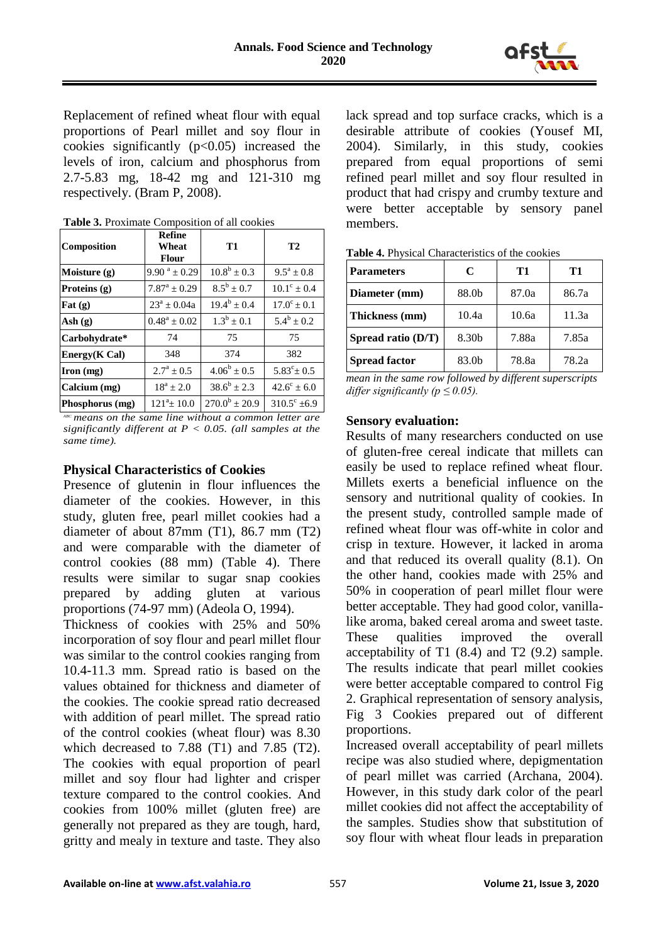

Replacement of refined wheat flour with equal proportions of Pearl millet and soy flour in cookies significantly  $(p<0.05)$  increased the levels of iron, calcium and phosphorus from 2.7-5.83 mg, 18-42 mg and 121-310 mg respectively. (Bram P, 2008).

| Composition                | <b>Refine</b><br>Wheat<br><b>Flour</b> | <b>T1</b>             | <b>T2</b>            |
|----------------------------|----------------------------------------|-----------------------|----------------------|
| Moisture $(g)$             | $9.90^{\text{a}} \pm 0.29$             | $10.8^b + 0.3$        | $9.5^a + 0.8$        |
| Proteins $(g)$             | $7.87^a + 0.29$                        | $8.5^{\rm b} \pm 0.7$ | $10.1^{\circ} + 0.4$ |
| $\text{Fat}(\mathbf{g})$   | $23^a \pm 0.04a$                       | $19.4^b + 0.4$        | $17.0^{\circ}$ + 0.1 |
| $\mathbf{Ash}(\mathbf{g})$ | $0.48^a + 0.02$                        | $1.3^b \pm 0.1$       | $5.4^b + 0.2$        |
| Carbohydrate*              | 74                                     | 75                    | 75                   |
| Energy(K Cal)              | 348                                    | 374                   | 382                  |
| $\Gamma$ Iron (mg)         | $2.7^{\rm a} \pm 0.5$                  | $4.06^b \pm 0.5$      | $5.83^{\circ}$ ± 0.5 |
| Calcium (mg)               | $18^a + 2.0$                           | $38.6^b \pm 2.3$      | $42.6^{\circ} + 6.0$ |
| Phosphorus (mg)            | $121^a + 10.0$                         | $270.0^b \pm 20.9$    | $310.5^{\circ}$ ±6.9 |

**Table 3.** Proximate Composition of all cookies

*ABC means on the same line without a common letter are significantly different at P < 0.05. (all samples at the same time).*

#### **Physical Characteristics of Cookies**

Presence of glutenin in flour influences the diameter of the cookies. However, in this study, gluten free, pearl millet cookies had a diameter of about 87mm (T1), 86.7 mm (T2) and were comparable with the diameter of control cookies (88 mm) (Table 4). There results were similar to sugar snap cookies prepared by adding gluten at various proportions (74-97 mm) (Adeola O, 1994).

Thickness of cookies with 25% and 50% incorporation of soy flour and pearl millet flour was similar to the control cookies ranging from 10.4-11.3 mm. Spread ratio is based on the values obtained for thickness and diameter of the cookies. The cookie spread ratio decreased with addition of pearl millet. The spread ratio of the control cookies (wheat flour) was 8.30 which decreased to  $7.88$  (T1) and  $7.85$  (T2). The cookies with equal proportion of pearl millet and soy flour had lighter and crisper texture compared to the control cookies. And cookies from 100% millet (gluten free) are generally not prepared as they are tough, hard, gritty and mealy in texture and taste. They also lack spread and top surface cracks, which is a desirable attribute of cookies (Yousef MI, 2004). Similarly, in this study, cookies prepared from equal proportions of semi refined pearl millet and soy flour resulted in product that had crispy and crumby texture and were better acceptable by sensory panel members.

| <b>Parameters</b>    | C     | T1    | Т1    |
|----------------------|-------|-------|-------|
| Diameter (mm)        | 88.0b | 87.0a | 86.7a |
| Thickness (mm)       | 10.4a | 10.6a | 11.3a |
| Spread ratio (D/T)   | 8.30b | 7.88a | 7.85a |
| <b>Spread factor</b> | 83.0b | 78.8a | 78.2a |

|--|

*mean in the same row followed by different superscripts differ significantly (* $p \le 0.05$ *).* 

#### **Sensory evaluation:**

Results of many researchers conducted on use of gluten-free cereal indicate that millets can easily be used to replace refined wheat flour. Millets exerts a beneficial influence on the sensory and nutritional quality of cookies. In the present study, controlled sample made of refined wheat flour was off-white in color and crisp in texture. However, it lacked in aroma and that reduced its overall quality (8.1). On the other hand, cookies made with 25% and 50% in cooperation of pearl millet flour were better acceptable. They had good color, vanillalike aroma, baked cereal aroma and sweet taste. These qualities improved the overall acceptability of T1 (8.4) and T2 (9.2) sample. The results indicate that pearl millet cookies were better acceptable compared to control Fig 2. Graphical representation of sensory analysis, Fig 3 Cookies prepared out of different proportions.

Increased overall acceptability of pearl millets recipe was also studied where, depigmentation of pearl millet was carried (Archana, 2004). However, in this study dark color of the pearl millet cookies did not affect the acceptability of the samples. Studies show that substitution of soy flour with wheat flour leads in preparation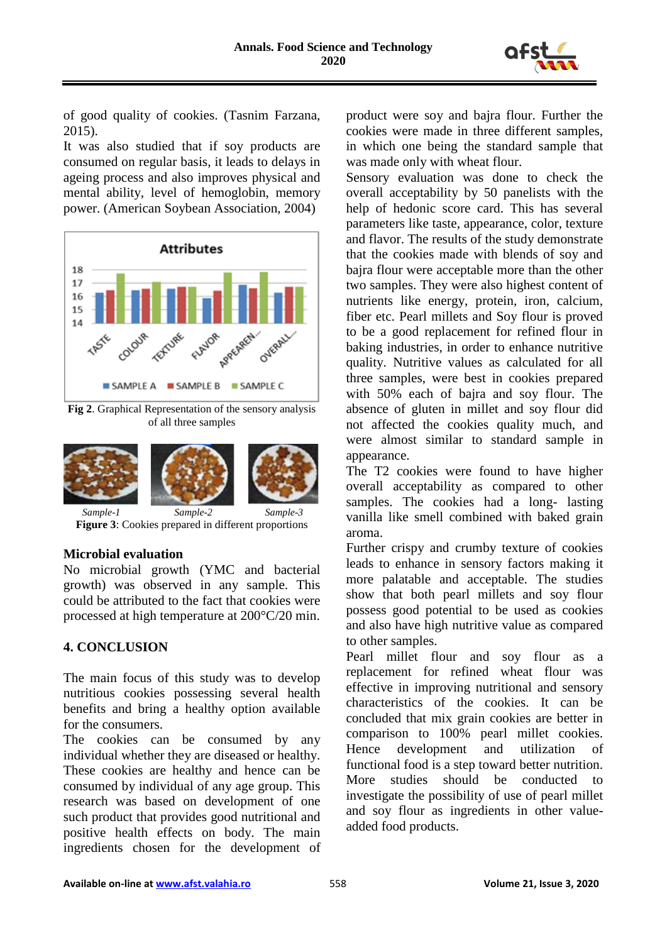

of good quality of cookies. (Tasnim Farzana, 2015).

It was also studied that if soy products are consumed on regular basis, it leads to delays in ageing process and also improves physical and mental ability, level of hemoglobin, memory power. (American Soybean Association, 2004)



**Fig 2**. Graphical Representation of the sensory analysis of all three samples



**Figure 3**: Cookies prepared in different proportions

## **Microbial evaluation**

No microbial growth (YMC and bacterial growth) was observed in any sample. This could be attributed to the fact that cookies were processed at high temperature at 200°C/20 min.

## **4. CONCLUSION**

The main focus of this study was to develop nutritious cookies possessing several health benefits and bring a healthy option available for the consumers.

The cookies can be consumed by any individual whether they are diseased or healthy. These cookies are healthy and hence can be consumed by individual of any age group. This research was based on development of one such product that provides good nutritional and positive health effects on body. The main ingredients chosen for the development of product were soy and bajra flour. Further the cookies were made in three different samples, in which one being the standard sample that was made only with wheat flour.

Sensory evaluation was done to check the overall acceptability by 50 panelists with the help of hedonic score card. This has several parameters like taste, appearance, color, texture and flavor. The results of the study demonstrate that the cookies made with blends of soy and bajra flour were acceptable more than the other two samples. They were also highest content of nutrients like energy, protein, iron, calcium, fiber etc. Pearl millets and Soy flour is proved to be a good replacement for refined flour in baking industries, in order to enhance nutritive quality. Nutritive values as calculated for all three samples, were best in cookies prepared with 50% each of bajra and soy flour. The absence of gluten in millet and soy flour did not affected the cookies quality much, and were almost similar to standard sample in appearance.

The T2 cookies were found to have higher overall acceptability as compared to other samples. The cookies had a long- lasting vanilla like smell combined with baked grain aroma.

Further crispy and crumby texture of cookies leads to enhance in sensory factors making it more palatable and acceptable. The studies show that both pearl millets and soy flour possess good potential to be used as cookies and also have high nutritive value as compared to other samples.

Pearl millet flour and soy flour as a replacement for refined wheat flour was effective in improving nutritional and sensory characteristics of the cookies. It can be concluded that mix grain cookies are better in comparison to 100% pearl millet cookies. Hence development and utilization of functional food is a step toward better nutrition. More studies should be conducted to investigate the possibility of use of pearl millet and soy flour as ingredients in other valueadded food products.